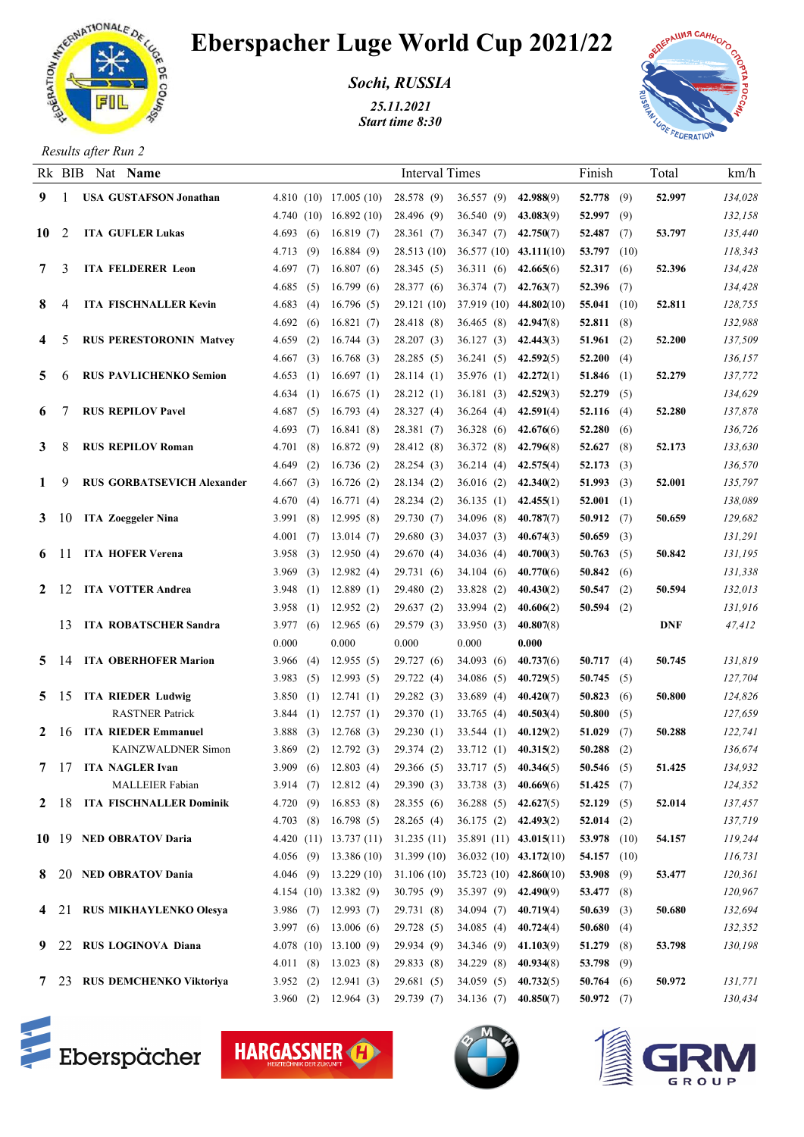

## Eberspacher Luge World Cup 2021/22

*Sochi, RUSSIA 25.11.2021*

*Start time 8:30*



*Results after Run 2*

|              |                | Rk BIB Nat Name                   |                             |                            | <b>Interval Times</b>                                     |                              |                        | Finish                     |     | Total      | km/h               |
|--------------|----------------|-----------------------------------|-----------------------------|----------------------------|-----------------------------------------------------------|------------------------------|------------------------|----------------------------|-----|------------|--------------------|
| 9.           |                | <b>USA GUSTAFSON Jonathan</b>     |                             | 4.810 $(10)$ 17.005 $(10)$ | 28.578 (9)                                                | 36.557 (9) 42.988(9)         |                        | 52.778 $(9)$               |     | 52.997     | 134,028            |
|              |                |                                   | 4.740(10)                   | 16.892(10)                 | 28.496 (9)                                                | 36.540(9)                    | 43.083(9)              | $52.997$ (9)               |     |            | 132,158            |
| 10           | -2             | <b>ITA GUFLER Lukas</b>           | 4.693<br>(6)                | 16.819(7)                  | 28.361(7)                                                 | 36.347(7)                    | 42.750(7)              | 52.487 $(7)$               |     | 53.797     | 135,440            |
|              |                |                                   | 4.713(9)                    | 16.884(9)                  | 28.513(10)                                                | $36.577(10)$ 43.111(10)      |                        | 53.797 (10)                |     |            | 118,343            |
| 7            | 3              | <b>ITA FELDERER Leon</b>          | 4.697<br>(7)                | 16.807(6)                  | 28.345(5)                                                 | 36.311 (6)                   | 42.665(6)              | 52.317 $(6)$               |     | 52.396     | 134,428            |
|              |                |                                   | 4.685<br>(5)                | 16.799(6)                  | 28.377(6)                                                 | 36.374(7)                    | 42.763(7)              | $52.396$ (7)               |     |            | 134,428            |
| 8            | 4              | <b>ITA FISCHNALLER Kevin</b>      | 4.683<br>(4)                | 16.796(5)                  | 29.121 (10)                                               | 37.919 (10) $44.802(10)$     |                        | 55.041 $(10)$              |     | 52.811     | 128,755            |
|              |                |                                   | 4.692<br>(6)                | 16.821(7)                  | 28.418 (8)                                                | 36.465(8)                    | 42.947(8)              | 52.811 $(8)$               |     |            | 132,988            |
| 4            | $\mathfrak{S}$ | <b>RUS PERESTORONIN Matvey</b>    | 4.659<br>(2)                | 16.744(3)                  | 28.207(3)                                                 | 36.127(3)                    | 42.443(3)              | 51.961 $(2)$               |     | 52.200     | 137,509            |
|              |                |                                   | 4.667<br>(3)                | 16.768(3)                  | 28.285(5)                                                 | 36.241(5)                    | 42.592(5)              | 52.200 $(4)$               |     |            | 136,157            |
| 5            | $\sigma$       | <b>RUS PAVLICHENKO Semion</b>     | 4.653(1)                    | 16.697(1)                  | 28.114(1)                                                 | 35.976 (1)                   | 42.272(1)              | 51.846 $(1)$               |     | 52.279     | 137,772            |
|              |                |                                   | 4.634(1)                    | 16.675(1)                  | 28.212(1)                                                 | 36.181(3)                    | 42.529(3)              | 52.279 $(5)$               |     |            | 134,629            |
| 6            |                | <b>RUS REPILOV Pavel</b>          | (5)<br>4.687                | 16.793(4)                  | 28.327(4)                                                 | 36.264(4)                    | 42.591(4)              | 52.116 $(4)$               |     | 52.280     | 137,878            |
|              |                |                                   | 4.693<br>(7)                | 16.841(8)                  | 28.381(7)                                                 | 36.328(6)                    | 42.676(6)              | 52.280 $(6)$               |     |            | 136,726            |
| 3            | 8              | <b>RUS REPILOV Roman</b>          | 4.701<br>(8)                | 16.872(9)                  | 28.412 (8)                                                | 36.372 (8)                   | 42.796(8)              | 52.627                     | (8) | 52.173     | 133,630            |
|              |                |                                   | 4.649<br>(2)                | 16.736(2)                  | 28.254(3)                                                 | 36.214(4)                    | 42.575(4)              | 52.173 $(3)$               |     |            | 136,570            |
| 1.           | 9              | <b>RUS GORBATSEVICH Alexander</b> | (3)<br>4.667                | 16.726(2)                  | 28.134(2)                                                 | 36.016(2)                    | 42.340(2)              | 51.993 (3)                 |     | 52.001     | 135,797            |
|              |                |                                   | 4.670(4)                    | 16.771(4)                  | 28.234(2)                                                 | 36.135(1)                    | 42.455(1)              | 52.001 $(1)$               |     |            | 138,089            |
|              | 3 10           | <b>ITA Zoeggeler Nina</b>         | (8)<br>3.991                | 12.995(8)                  | 29.730(7)                                                 | 34.096 (8)                   | 40.787(7)              | 50.912 $(7)$               |     | 50.659     | 129,682            |
|              |                |                                   | 4.001<br>(7)                | 13.014(7)                  | 29.680(3)                                                 | 34.037(3)                    | 40.674(3)              | 50.659 (3)                 |     |            | 131,291            |
| $6 \quad 11$ |                | <b>ITA HOFER Verena</b>           | 3.958<br>(3)                | 12.950(4)                  | 29.670 (4)                                                | 34.036 (4)                   | 40.700(3)              | 50.763                     | (5) | 50.842     | 131,195            |
| 2            | -12            | <b>ITA VOTTER Andrea</b>          | 3.969<br>(3)<br>3.948 $(1)$ | 12.982(4)<br>12.889(1)     | 29.731 (6)<br>29.480 (2)                                  | 34.104(6)                    | 40.770(6)<br>40.430(2) | 50.842 (6)<br>50.547 $(2)$ |     | 50.594     | 131,338<br>132,013 |
|              |                |                                   | 3.958(1)                    | 12.952(2)                  | 29.637(2)                                                 | 33.828 (2)<br>33.994(2)      | 40.606(2)              | 50.594 $(2)$               |     |            | 131,916            |
|              | 13             | <b>ITA ROBATSCHER Sandra</b>      | 3.977(6)                    | 12.965(6)                  | 29.579(3)                                                 | 33.950(3)                    | 40.807(8)              |                            |     | <b>DNF</b> | 47,412             |
|              |                |                                   | 0.000                       | 0.000                      | 0.000                                                     | 0.000                        | 0.000                  |                            |     |            |                    |
| 5.           | -14            | <b>ITA OBERHOFER Marion</b>       | 3.966<br>(4)                | 12.955(5)                  | 29.727 (6)                                                | 34.093(6)                    | 40.737(6)              | 50.717 $(4)$               |     | 50.745     | 131,819            |
|              |                |                                   | 3.983<br>(5)                | 12.993(5)                  | 29.722 (4)                                                | 34.086(5)                    | 40.729(5)              | 50.745 $(5)$               |     |            | 127,704            |
| 5 15         |                | <b>ITA RIEDER Ludwig</b>          | 3.850<br>(1)                | 12.741(1)                  | 29.282(3)                                                 | 33.689 (4)                   | 40.420(7)              | 50.823 (6)                 |     | 50.800     | 124,826            |
|              |                | <b>RASTNER Patrick</b>            | 3.844<br>(1)                | 12.757(1)                  | 29.370 (1)                                                | 33.765 (4)                   | 40.503(4)              | 50.800 $(5)$               |     |            | 127,659            |
| 2 16         |                | <b>ITA RIEDER Emmanuel</b>        | 3.888(3)                    | 12.768(3)                  | 29.230(1)                                                 | 33.544(1)                    | 40.129(2)              | 51.029                     | (7) | 50.288     | 122,741            |
|              |                | <b>KAINZWALDNER Simon</b>         | 3.869<br>(2)                | 12.792(3)                  | 29.374(2)                                                 | 33.712 (1) <b>40.315</b> (2) |                        | 50.288                     | (2) |            | 136,674            |
| 7 17         |                | <b>ITA NAGLER Ivan</b>            | 3.909 $(6)$                 | 12.803(4)                  | 29.366 (5)                                                | 33.717 (5)                   | 40.346(5)              | 50.546 $(5)$               |     | 51.425     | 134,932            |
|              |                | <b>MALLEIER Fabian</b>            |                             | $3.914$ (7) $12.812$ (4)   | 29.390 (3) 33.738 (3) 40.669(6)                           |                              |                        | 51.425 $(7)$               |     |            | 124,352            |
|              |                | 2 18 ITA FISCHNALLER Dominik      | 4.720(9)                    | 16.853(8)                  | 28.355(6)                                                 | $36.288(5)$ 42.627(5)        |                        | 52.129 $(5)$               |     | 52.014     | 137,457            |
|              |                |                                   | $4.703$ (8)                 | 16.798(5)                  | 28.265(4)                                                 | $36.175(2)$ 42.493(2)        |                        | 52.014 $(2)$               |     |            | 137,719            |
|              |                | 10 19 NED OBRATOV Daria           |                             |                            | 4.420 (11) 13.737 (11) 31.235 (11) 35.891 (11) 43.015(11) |                              |                        | 53.978 (10)                |     | 54.157     | 119,244            |
|              |                |                                   |                             |                            | 4.056 (9) 13.386 (10) 31.399 (10) 36.032 (10) 43.172(10)  |                              |                        | 54.157 $(10)$              |     |            | 116,731            |
|              |                | 8 20 NED OBRATOV Dania            |                             |                            | 4.046 (9) 13.229 (10) 31.106 (10) 35.723 (10) 42.860(10)  |                              |                        | 53.908 (9)                 |     | 53.477     | 120,361            |
|              |                |                                   |                             | 4.154 (10) 13.382 (9)      | 30.795(9)                                                 | $35.397(9)$ 42.490(9)        |                        | 53.477 (8)                 |     |            | 120,967            |
| 4 21         |                | <b>RUS MIKHAYLENKO Olesya</b>     |                             | $3.986$ (7) 12.993 (7)     | 29.731 (8)                                                | $34.094(7)$ $40.719(4)$      |                        | 50.639 (3)                 |     | 50.680     | 132,694            |
|              |                |                                   |                             | $3.997(6)$ 13.006 (6)      | 29.728 (5)                                                | $34.085(4)$ $40.724(4)$      |                        | 50.680 $(4)$               |     |            | 132,352            |
|              |                | 9 22 RUS LOGINOVA Diana           |                             | $4.078$ (10) 13.100 (9)    | 29.934(9)                                                 | 34.346 (9) 41.103(9)         |                        | 51.279 (8)                 |     | 53.798     | 130,198            |
|              |                |                                   |                             | $4.011$ (8) 13.023 (8)     | 29.833(8)                                                 | $34.229(8)$ 40.934(8)        |                        | 53.798 $(9)$               |     |            |                    |
|              |                | 7 23 RUS DEMCHENKO Viktoriya      | 3.952(2)                    | 12.941(3)                  | 29.681(5)                                                 | $34.059(5)$ $40.732(5)$      |                        | 50.764 $(6)$               |     | 50.972     | 131,771            |
|              |                |                                   |                             | $3.960$ (2) 12.964 (3)     | 29.739 (7) 34.136 (7) 40.850(7)                           |                              |                        | 50.972 $(7)$               |     |            | 130,434            |